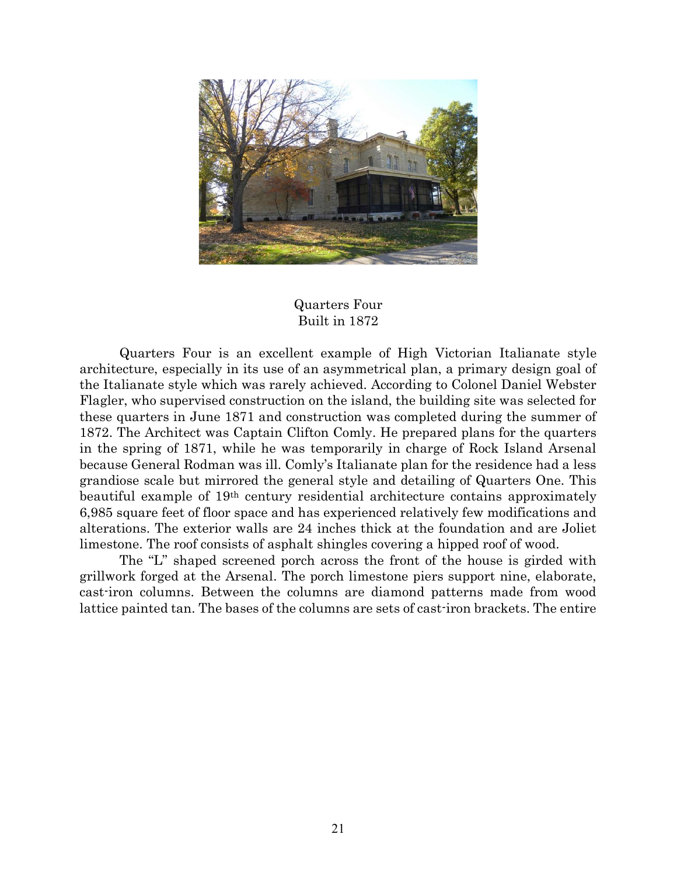

## Quarters Four Built in 1872

Quarters Four is an excellent example of High Victorian Italianate style architecture, especially in its use of an asymmetrical plan, a primary design goal of the Italianate style which was rarely achieved. According to Colonel Daniel Webster Flagler, who supervised construction on the island, the building site was selected for these quarters in June 1871 and construction was completed during the summer of 1872. The Architect was Captain Clifton Comly. He prepared plans for the quarters in the spring of 1871, while he was temporarily in charge of Rock Island Arsenal because General Rodman was ill. Comly's Italianate plan for the residence had a less grandiose scale but mirrored the general style and detailing of Quarters One. This beautiful example of 19th century residential architecture contains approximately 6,985 square feet of floor space and has experienced relatively few modifications and alterations. The exterior walls are 24 inches thick at the foundation and are Joliet limestone. The roof consists of asphalt shingles covering a hipped roof of wood.

 The "L" shaped screened porch across the front of the house is girded with grillwork forged at the Arsenal. The porch limestone piers support nine, elaborate, cast-iron columns. Between the columns are diamond patterns made from wood lattice painted tan. The bases of the columns are sets of cast-iron brackets. The entire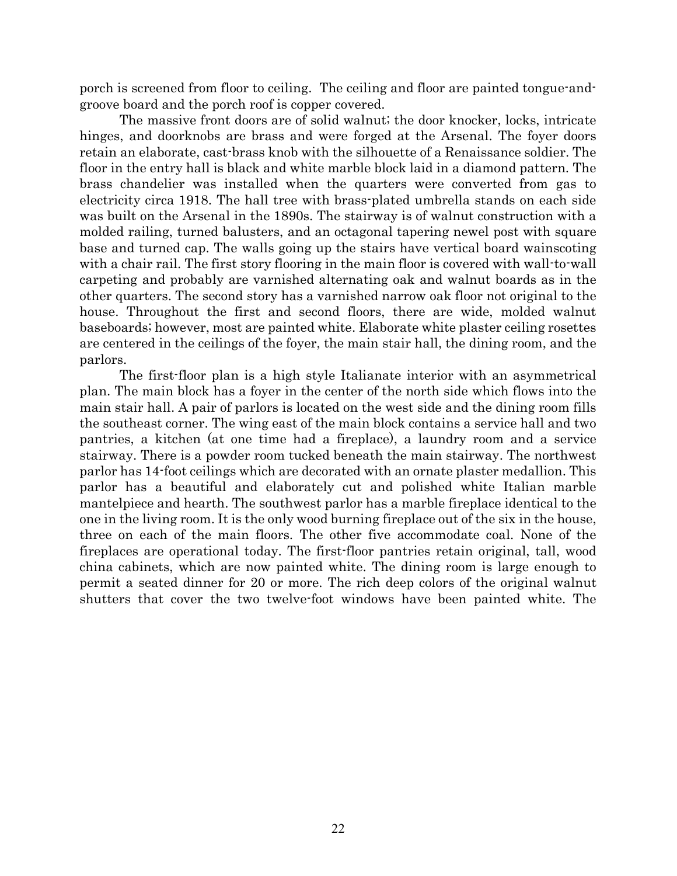porch is screened from floor to ceiling. The ceiling and floor are painted tongue-andgroove board and the porch roof is copper covered.

 The massive front doors are of solid walnut; the door knocker, locks, intricate hinges, and doorknobs are brass and were forged at the Arsenal. The foyer doors retain an elaborate, cast-brass knob with the silhouette of a Renaissance soldier. The floor in the entry hall is black and white marble block laid in a diamond pattern. The brass chandelier was installed when the quarters were converted from gas to electricity circa 1918. The hall tree with brass-plated umbrella stands on each side was built on the Arsenal in the 1890s. The stairway is of walnut construction with a molded railing, turned balusters, and an octagonal tapering newel post with square base and turned cap. The walls going up the stairs have vertical board wainscoting with a chair rail. The first story flooring in the main floor is covered with wall-to-wall carpeting and probably are varnished alternating oak and walnut boards as in the other quarters. The second story has a varnished narrow oak floor not original to the house. Throughout the first and second floors, there are wide, molded walnut baseboards; however, most are painted white. Elaborate white plaster ceiling rosettes are centered in the ceilings of the foyer, the main stair hall, the dining room, and the parlors.

 The first-floor plan is a high style Italianate interior with an asymmetrical plan. The main block has a foyer in the center of the north side which flows into the main stair hall. A pair of parlors is located on the west side and the dining room fills the southeast corner. The wing east of the main block contains a service hall and two pantries, a kitchen (at one time had a fireplace), a laundry room and a service stairway. There is a powder room tucked beneath the main stairway. The northwest parlor has 14-foot ceilings which are decorated with an ornate plaster medallion. This parlor has a beautiful and elaborately cut and polished white Italian marble mantelpiece and hearth. The southwest parlor has a marble fireplace identical to the one in the living room. It is the only wood burning fireplace out of the six in the house, three on each of the main floors. The other five accommodate coal. None of the fireplaces are operational today. The first-floor pantries retain original, tall, wood china cabinets, which are now painted white. The dining room is large enough to permit a seated dinner for 20 or more. The rich deep colors of the original walnut shutters that cover the two twelve-foot windows have been painted white. The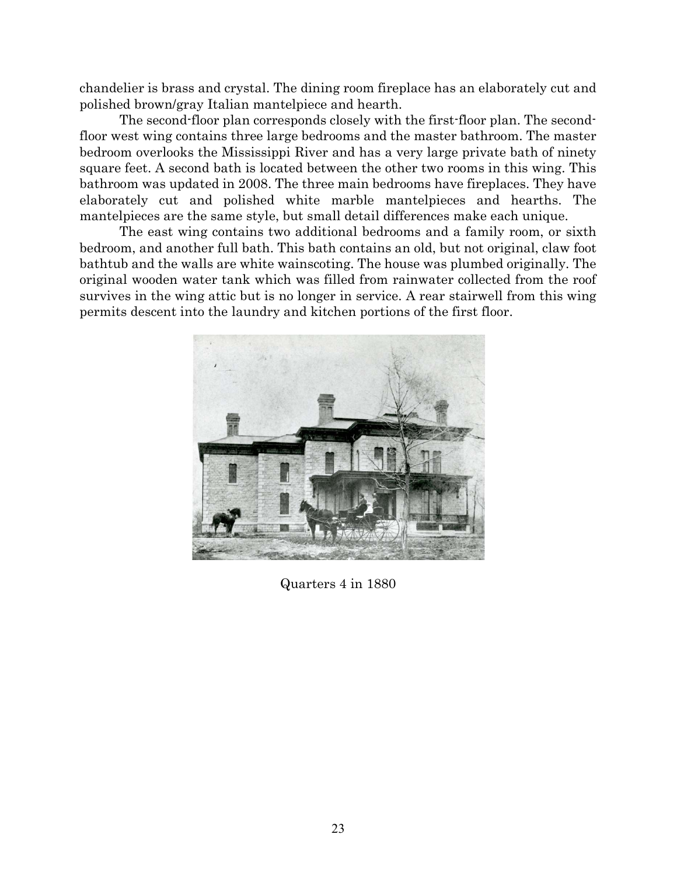chandelier is brass and crystal. The dining room fireplace has an elaborately cut and polished brown/gray Italian mantelpiece and hearth.

 The second-floor plan corresponds closely with the first-floor plan. The secondfloor west wing contains three large bedrooms and the master bathroom. The master bedroom overlooks the Mississippi River and has a very large private bath of ninety square feet. A second bath is located between the other two rooms in this wing. This bathroom was updated in 2008. The three main bedrooms have fireplaces. They have elaborately cut and polished white marble mantelpieces and hearths. The mantelpieces are the same style, but small detail differences make each unique.

 The east wing contains two additional bedrooms and a family room, or sixth bedroom, and another full bath. This bath contains an old, but not original, claw foot bathtub and the walls are white wainscoting. The house was plumbed originally. The original wooden water tank which was filled from rainwater collected from the roof survives in the wing attic but is no longer in service. A rear stairwell from this wing permits descent into the laundry and kitchen portions of the first floor.



Quarters 4 in 1880